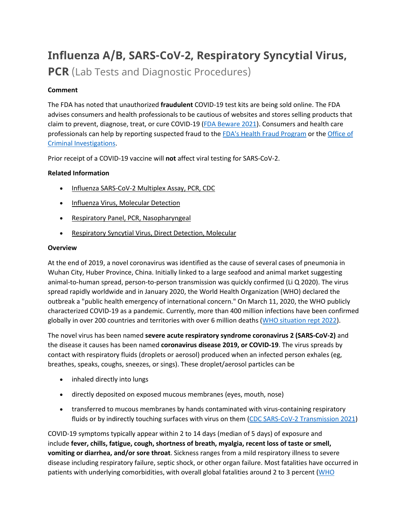# **Influenza A/B, SARS-CoV-2, Respiratory Syncytial Virus,**

**PCR** (Lab Tests and Diagnostic Procedures)

# **Comment**

The FDA has noted that unauthorized **fraudulent** COVID-19 test kits are being sold online. The FDA advises consumers and health professionals to be cautious of websites and stores selling products that claim to prevent, diagnose, treat, or cure COVID-19 [\(FDA Beware 2021\)](https://www.fda.gov/consumers/consumer-updates/beware-fraudulent-coronavirus-tests-vaccines-and-treatments?utm_campaign=FDA%20MedWatch%20-%20Fraudulent%20Coronavirus%20Tests%2C%20Vaccines%20and%20Treatments&utm_medium=email&utm_source=Eloqua). Consumers and health care professionals can help by reporting suspected fraud to the [FDA's Health Fraud Program](https://www.fda.gov/safety/report-problem-fda/reporting-unlawful-sales-medical-products-internet) or the [Office of](https://www.accessdata.fda.gov/scripts/email/oc/oci/contact.cfm)  [Criminal Investigations.](https://www.accessdata.fda.gov/scripts/email/oc/oci/contact.cfm)

Prior receipt of a COVID-19 vaccine will **not** affect viral testing for SARS-CoV-2.

# **Related Information**

- [Influenza SARS-CoV-2 Multiplex Assay, PCR, CDC](https://online.lexi.com/lco/action/doc/retrieve/docid/lthdph/6990707)
- [Influenza Virus, Molecular Detection](https://online.lexi.com/lco/action/doc/retrieve/docid/lthdph/6646837)
- [Respiratory Panel, PCR, Nasopharyngeal](https://online.lexi.com/lco/action/doc/retrieve/docid/lthdph/7106510)
- [Respiratory Syncytial Virus, Direct Detection, Molecular](https://online.lexi.com/lco/action/doc/retrieve/docid/lthdph/5456063)

# **Overview**

At the end of 2019, a novel coronavirus was identified as the cause of several cases of pneumonia in Wuhan City, Huber Province, China. Initially linked to a large seafood and animal market suggesting animal-to-human spread, person-to-person transmission was quickly confirmed (Li Q 2020). The virus spread rapidly worldwide and in January 2020, the World Health Organization (WHO) declared the outbreak a "public health emergency of international concern." On March 11, 2020, the WHO publicly characterized COVID-19 as a pandemic. Currently, more than 400 million infections have been confirmed globally in over 200 countries and territories with over 6 million deaths [\(WHO situation rept 2022\)](https://www.who.int/emergencies/diseases/novel-coronavirus-2019/situation-reports).

The novel virus has been named **severe acute respiratory syndrome coronavirus 2 (SARS-CoV-2)** and the disease it causes has been named **coronavirus disease 2019, or COVID-19**. The virus spreads by contact with respiratory fluids (droplets or aerosol) produced when an infected person exhales (eg, breathes, speaks, coughs, sneezes, or sings). These droplet/aerosol particles can be

- inhaled directly into lungs
- directly deposited on exposed mucous membranes (eyes, mouth, nose)
- transferred to mucous membranes by hands contaminated with virus-containing respiratory fluids or by indirectly touching surfaces with virus on them [\(CDC SARS-CoV-2 Transmission 2021\)](https://www.cdc.gov/coronavirus/2019-ncov/science/science-briefs/sars-cov-2-transmission.html)

COVID-19 symptoms typically appear within 2 to 14 days (median of 5 days) of exposure and include **fever, chills, fatigue, cough, shortness of breath, myalgia, recent loss of taste or smell, vomiting or diarrhea, and/or sore throat**. Sickness ranges from a mild respiratory illness to severe disease including respiratory failure, septic shock, or other organ failure. Most fatalities have occurred in patients with underlying comorbidities, with overall global fatalities around 2 to 3 percent (WHO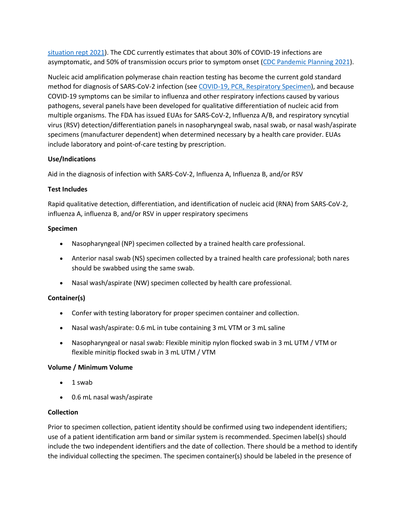[situation rept 2021\)](https://www.who.int/emergencies/diseases/novel-coronavirus-2019/situation-reports). The CDC currently estimates that about 30% of COVID-19 infections are asymptomatic, and 50% of transmission occurs prior to symptom onset [\(CDC Pandemic Planning 2021\)](https://www.cdc.gov/coronavirus/2019-ncov/hcp/planning-scenarios.html).

Nucleic acid amplification polymerase chain reaction testing has become the current gold standard method for diagnosis of SARS-CoV-2 infection (see [COVID-19, PCR, Respiratory Specimen\)](https://online.lexi.com/lco/action/search/globalid/869331), and because COVID-19 symptoms can be similar to influenza and other respiratory infections caused by various pathogens, several panels have been developed for qualitative differentiation of nucleic acid from multiple organisms. The FDA has issued EUAs for SARS-CoV-2, Influenza A/B, and respiratory syncytial virus (RSV) detection/differentiation panels in nasopharyngeal swab, nasal swab, or nasal wash/aspirate specimens (manufacturer dependent) when determined necessary by a health care provider. EUAs include laboratory and point-of-care testing by prescription.

## **Use/Indications**

Aid in the diagnosis of infection with SARS-CoV-2, Influenza A, Influenza B, and/or RSV

#### **Test Includes**

Rapid qualitative detection, differentiation, and identification of nucleic acid (RNA) from SARS-CoV-2, influenza A, influenza B, and/or RSV in upper respiratory specimens

#### **Specimen**

- Nasopharyngeal (NP) specimen collected by a trained health care professional.
- Anterior nasal swab (NS) specimen collected by a trained health care professional; both nares should be swabbed using the same swab.
- Nasal wash/aspirate (NW) specimen collected by health care professional.

## **Container(s)**

- Confer with testing laboratory for proper specimen container and collection.
- Nasal wash/aspirate: 0.6 mL in tube containing 3 mL VTM or 3 mL saline
- Nasopharyngeal or nasal swab: Flexible minitip nylon flocked swab in 3 mL UTM / VTM or flexible minitip flocked swab in 3 mL UTM / VTM

#### **Volume / Minimum Volume**

- 1 swab
- 0.6 mL nasal wash/aspirate

#### **Collection**

Prior to specimen collection, patient identity should be confirmed using two independent identifiers; use of a patient identification arm band or similar system is recommended. Specimen label(s) should include the two independent identifiers and the date of collection. There should be a method to identify the individual collecting the specimen. The specimen container(s) should be labeled in the presence of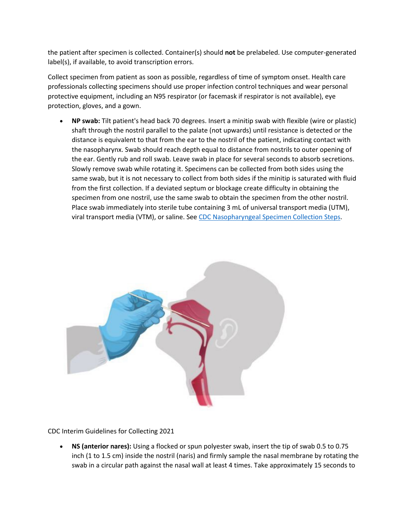the patient after specimen is collected. Container(s) should **not** be prelabeled. Use computer-generated label(s), if available, to avoid transcription errors.

Collect specimen from patient as soon as possible, regardless of time of symptom onset. Health care professionals collecting specimens should use proper infection control techniques and wear personal protective equipment, including an N95 respirator (or facemask if respirator is not available), eye protection, gloves, and a gown.

• **NP swab:** Tilt patient's head back 70 degrees. Insert a minitip swab with flexible (wire or plastic) shaft through the nostril parallel to the palate (not upwards) until resistance is detected or the distance is equivalent to that from the ear to the nostril of the patient, indicating contact with the nasopharynx. Swab should reach depth equal to distance from nostrils to outer opening of the ear. Gently rub and roll swab. Leave swab in place for several seconds to absorb secretions. Slowly remove swab while rotating it. Specimens can be collected from both sides using the same swab, but it is not necessary to collect from both sides if the minitip is saturated with fluid from the first collection. If a deviated septum or blockage create difficulty in obtaining the specimen from one nostril, use the same swab to obtain the specimen from the other nostril. Place swab immediately into sterile tube containing 3 mL of universal transport media (UTM), viral transport media (VTM), or saline. See [CDC Nasopharyngeal Specimen Collection Steps.](https://www.cdc.gov/coronavirus/2019-ncov/downloads/lab/NP_Specimen_Collection_Infographic_FINAL_508.pdf)



CDC Interim Guidelines for Collecting 2021

• **NS (anterior nares):** Using a flocked or spun polyester swab, insert the tip of swab 0.5 to 0.75 inch (1 to 1.5 cm) inside the nostril (naris) and firmly sample the nasal membrane by rotating the swab in a circular path against the nasal wall at least 4 times. Take approximately 15 seconds to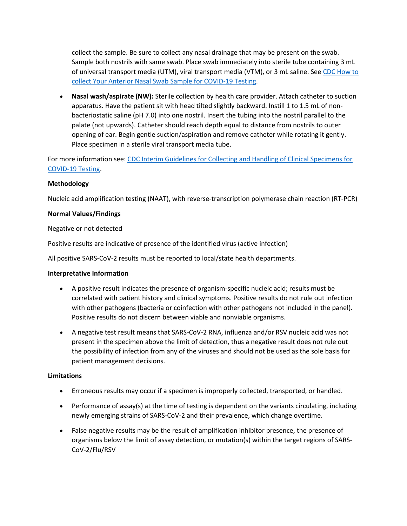collect the sample. Be sure to collect any nasal drainage that may be present on the swab. Sample both nostrils with same swab. Place swab immediately into sterile tube containing 3 mL of universal transport media (UTM), viral transport media (VTM), or 3 mL saline. See [CDC How to](https://www.cdc.gov/coronavirus/2019-ncov/testing/How-To-Collect-Anterior-Nasal-Specimen-for-COVID-19.pdf)  [collect Your Anterior Nasal Swab Sample for COVID-19 Testing.](https://www.cdc.gov/coronavirus/2019-ncov/testing/How-To-Collect-Anterior-Nasal-Specimen-for-COVID-19.pdf)

• **Nasal wash/aspirate (NW):** Sterile collection by health care provider. Attach catheter to suction apparatus. Have the patient sit with head tilted slightly backward. Instill 1 to 1.5 mL of nonbacteriostatic saline (pH 7.0) into one nostril. Insert the tubing into the nostril parallel to the palate (not upwards). Catheter should reach depth equal to distance from nostrils to outer opening of ear. Begin gentle suction/aspiration and remove catheter while rotating it gently. Place specimen in a sterile viral transport media tube.

For more information see: [CDC Interim Guidelines for Collecting and Handling of Clinical Specimens for](https://www.cdc.gov/coronavirus/2019-ncov/lab/guidelines-clinical-specimens.html?CDC_AA_refVal=https%3A%2F%2Fwww.cdc.gov%2Fcoronavirus%2F2019-ncov%2Fguidelines-clinical-specimens.html)  [COVID-19 Testing.](https://www.cdc.gov/coronavirus/2019-ncov/lab/guidelines-clinical-specimens.html?CDC_AA_refVal=https%3A%2F%2Fwww.cdc.gov%2Fcoronavirus%2F2019-ncov%2Fguidelines-clinical-specimens.html)

#### **Methodology**

Nucleic acid amplification testing (NAAT), with reverse-transcription polymerase chain reaction (RT-PCR)

#### **Normal Values/Findings**

Negative or not detected

Positive results are indicative of presence of the identified virus (active infection)

All positive SARS-CoV-2 results must be reported to local/state health departments.

#### **Interpretative Information**

- A positive result indicates the presence of organism-specific nucleic acid; results must be correlated with patient history and clinical symptoms. Positive results do not rule out infection with other pathogens (bacteria or coinfection with other pathogens not included in the panel). Positive results do not discern between viable and nonviable organisms.
- A negative test result means that SARS-CoV-2 RNA, influenza and/or RSV nucleic acid was not present in the specimen above the limit of detection, thus a negative result does not rule out the possibility of infection from any of the viruses and should not be used as the sole basis for patient management decisions.

#### **Limitations**

- Erroneous results may occur if a specimen is improperly collected, transported, or handled.
- Performance of assay(s) at the time of testing is dependent on the variants circulating, including newly emerging strains of SARS-CoV-2 and their prevalence, which change overtime.
- False negative results may be the result of amplification inhibitor presence, the presence of organisms below the limit of assay detection, or mutation(s) within the target regions of SARS-CoV-2/Flu/RSV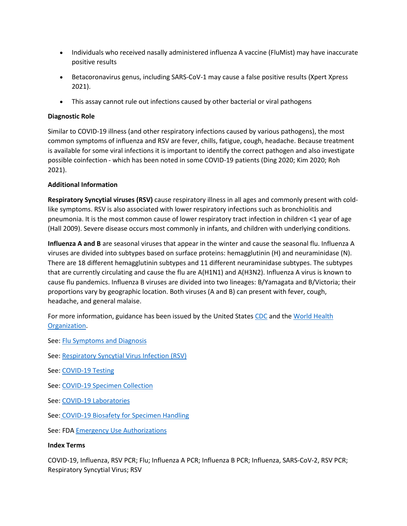- Individuals who received nasally administered influenza A vaccine (FluMist) may have inaccurate positive results
- Betacoronavirus genus, including SARS-CoV-1 may cause a false positive results (Xpert Xpress 2021).
- This assay cannot rule out infections caused by other bacterial or viral pathogens

## **Diagnostic Role**

Similar to COVID-19 illness (and other respiratory infections caused by various pathogens), the most common symptoms of influenza and RSV are fever, chills, fatigue, cough, headache. Because treatment is available for some viral infections it is important to identify the correct pathogen and also investigate possible coinfection - which has been noted in some COVID-19 patients (Ding 2020; Kim 2020; Roh 2021).

## **Additional Information**

**Respiratory Syncytial viruses (RSV)** cause respiratory illness in all ages and commonly present with coldlike symptoms. RSV is also associated with lower respiratory infections such as bronchiolitis and pneumonia. It is the most common cause of lower respiratory tract infection in children <1 year of age (Hall 2009). Severe disease occurs most commonly in infants, and children with underlying conditions.

**Influenza A and B** are seasonal viruses that appear in the winter and cause the seasonal flu. Influenza A viruses are divided into subtypes based on surface proteins: hemagglutinin (H) and neuraminidase (N). There are 18 different hemagglutinin subtypes and 11 different neuraminidase subtypes. The subtypes that are currently circulating and cause the flu are A(H1N1) and A(H3N2). Influenza A virus is known to cause flu pandemics. Influenza B viruses are divided into two lineages: B/Yamagata and B/Victoria; their proportions vary by geographic location. Both viruses (A and B) can present with fever, cough, headache, and general malaise.

For more information, guidance has been issued by the United States [CDC](https://www.cdc.gov/coronavirus/2019-ncov/index.html) and the World Health [Organization.](https://www.who.int/emergencies/diseases/novel-coronavirus-2019)

See: [Flu Symptoms and Diagnosis](https://www.cdc.gov/flu/symptoms/index.html)

- See: [Respiratory Syncytial Virus Infection \(RSV\)](https://www.cdc.gov/rsv/)
- See: [COVID-19 Testing](https://www.cdc.gov/coronavirus/2019-ncov/hcp/testing.html)
- See: [COVID-19 Specimen Collection](https://www.cdc.gov/coronavirus/2019-nCoV/lab/guidelines-clinical-specimens.html)
- See: [COVID-19 Laboratories](https://www.cdc.gov/coronavirus/2019-ncov/lab/index.html?CDC_AA_refVal=https%3A%2F%2Fwww.cdc.gov%2Fcoronavirus%2F2019-ncov%2Fguidance-laboratories.html)
- See: [COVID-19 Biosafety for Specimen Handling](https://www.cdc.gov/coronavirus/2019-ncov/lab/lab-biosafety-guidelines.html?CDC_AA_refVal=https%3A%2F%2Fwww.cdc.gov%2Fcoronavirus%2F2019-ncov%2Flab-biosafety-guidelines.html)

See: FDA [Emergency Use Authorizations](https://www.fda.gov/emergency-preparedness-and-response/mcm-legal-regulatory-and-policy-framework/emergency-use-authorization)

#### **Index Terms**

COVID-19, Influenza, RSV PCR; Flu; Influenza A PCR; Influenza B PCR; Influenza, SARS-CoV-2, RSV PCR; Respiratory Syncytial Virus; RSV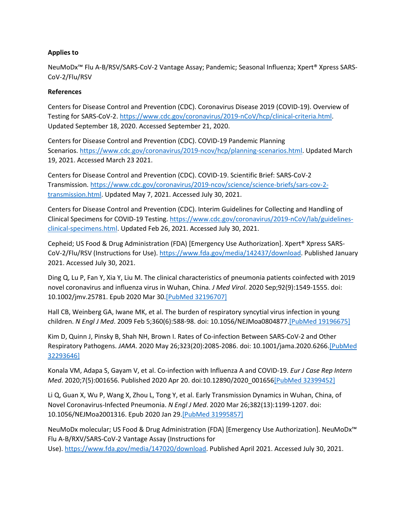#### **Applies to**

NeuMoDx™ Flu A-B/RSV/SARS-CoV-2 Vantage Assay; Pandemic; Seasonal Influenza; Xpert® Xpress SARS-CoV-2/Flu/RSV

#### **References**

Centers for Disease Control and Prevention (CDC). Coronavirus Disease 2019 (COVID-19). Overview of Testing for SARS-CoV-2. [https://www.cdc.gov/coronavirus/2019-nCoV/hcp/clinical-criteria.html.](https://www.cdc.gov/coronavirus/2019-ncov/hcp/testing-overview.html) Updated September 18, 2020. Accessed September 21, 2020.

Centers for Disease Control and Prevention (CDC). COVID-19 Pandemic Planning Scenarios. [https://www.cdc.gov/coronavirus/2019-ncov/hcp/planning-scenarios.html.](https://www.cdc.gov/coronavirus/2019-ncov/hcp/planning-scenarios.html) Updated March 19, 2021. Accessed March 23 2021.

Centers for Disease Control and Prevention (CDC). COVID-19. Scientific Brief: SARS-CoV-2 Transmission. [https://www.cdc.gov/coronavirus/2019-ncov/science/science-briefs/sars-cov-2](https://www.cdc.gov/coronavirus/2019-ncov/science/science-briefs/sars-cov-2-transmission.html) [transmission.html.](https://www.cdc.gov/coronavirus/2019-ncov/science/science-briefs/sars-cov-2-transmission.html) Updated May 7, 2021. Accessed July 30, 2021.

Centers for Disease Control and Prevention (CDC). Interim Guidelines for Collecting and Handling of Clinical Specimens for COVID-19 Testing. [https://www.cdc.gov/coronavirus/2019-nCoV/lab/guidelines](https://www.cdc.gov/coronavirus/2019-nCoV/lab/guidelines-clinical-specimens.html)[clinical-specimens.html.](https://www.cdc.gov/coronavirus/2019-nCoV/lab/guidelines-clinical-specimens.html) Updated Feb 26, 2021. Accessed July 30, 2021.

Cepheid; US Food & Drug Administration (FDA) [Emergency Use Authorization]. Xpert® Xpress SARS-CoV-2/Flu/RSV (Instructions for Use). [https://www.fda.gov/media/142437/download.](https://www.fda.gov/media/142437/download) Published January 2021. Accessed July 30, 2021.

Ding Q, Lu P, Fan Y, Xia Y, Liu M. The clinical characteristics of pneumonia patients coinfected with 2019 novel coronavirus and influenza virus in Wuhan, China. *J Med Virol*. 2020 Sep;92(9):1549-1555. doi: 10.1002/jmv.25781. Epub 2020 Mar 30[.\[PubMed 32196707\]](https://www.ncbi.nlm.nih.gov/entrez/query.fcgi?cmd=Retrieve&db=pubmed&dopt=Abstract&list_uids=32196707)

Hall CB, Weinberg GA, Iwane MK, et al. The burden of respiratory syncytial virus infection in young children. *N Engl J Med*. 2009 Feb 5;360(6):588-98. doi: 10.1056/NEJMoa0804877[.\[PubMed 19196675\]](https://www.ncbi.nlm.nih.gov/entrez/query.fcgi?cmd=Retrieve&db=pubmed&dopt=Abstract&list_uids=19196675)

Kim D, Quinn J, Pinsky B, Shah NH, Brown I. Rates of Co-infection Between SARS-CoV-2 and Other Respiratory Pathogens. *JAMA*. 2020 May 26;323(20):2085-2086. doi: 10.1001/jama.2020.626[6.\[PubMed](https://www.ncbi.nlm.nih.gov/entrez/query.fcgi?cmd=Retrieve&db=pubmed&dopt=Abstract&list_uids=32293646)  [32293646\]](https://www.ncbi.nlm.nih.gov/entrez/query.fcgi?cmd=Retrieve&db=pubmed&dopt=Abstract&list_uids=32293646)

Konala VM, Adapa S, Gayam V, et al. Co-infection with Influenza A and COVID-19. *Eur J Case Rep Intern Med*. 2020;7(5):001656. Published 2020 Apr 20. doi:10.12890/2020\_00165[6\[PubMed 32399452\]](https://www.ncbi.nlm.nih.gov/entrez/query.fcgi?cmd=Retrieve&db=pubmed&dopt=Abstract&list_uids=32399452)

Li Q, Guan X, Wu P, Wang X, Zhou L, Tong Y, et al. Early Transmission Dynamics in Wuhan, China, of Novel Coronavirus-Infected Pneumonia. *N Engl J Med*. 2020 Mar 26;382(13):1199-1207. doi: 10.1056/NEJMoa2001316. Epub 2020 Jan 29[.\[PubMed 31995857\]](https://www.ncbi.nlm.nih.gov/entrez/query.fcgi?cmd=Retrieve&db=pubmed&dopt=Abstract&list_uids=31995857)

NeuMoDx molecular; US Food & Drug Administration (FDA) [Emergency Use Authorization]. NeuMoDx™ Flu A-B/RXV/SARS-CoV-2 Vantage Assay (Instructions for Use)[. https://www.fda.gov/media/147020/download.](https://www.fda.gov/media/147020/download) Published April 2021. Accessed July 30, 2021.